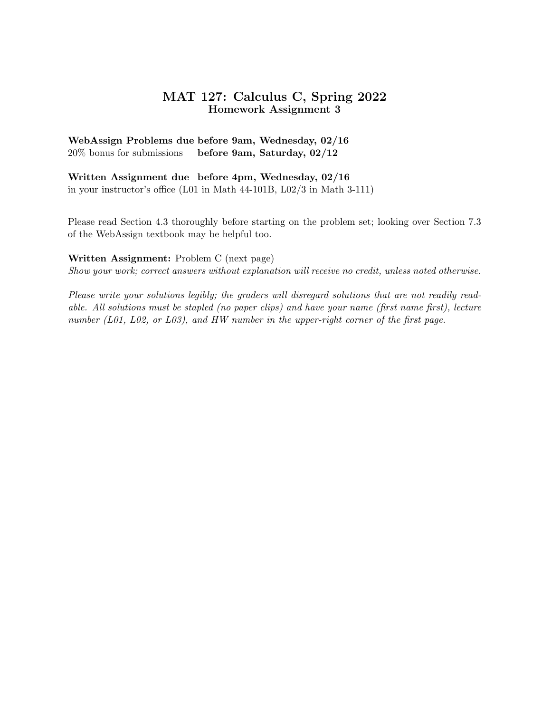# MAT 127: Calculus C, Spring 2022 Homework Assignment 3

## WebAssign Problems due before 9am, Wednesday, 02/16 20% bonus for submissions before 9am, Saturday, 02/12

### Written Assignment due before 4pm, Wednesday, 02/16 in your instructor's office (L01 in Math 44-101B, L02/3 in Math 3-111)

Please read Section 4.3 thoroughly before starting on the problem set; looking over Section 7.3 of the WebAssign textbook may be helpful too.

### Written Assignment: Problem C (next page)

Show your work; correct answers without explanation will receive no credit, unless noted otherwise.

Please write your solutions legibly; the graders will disregard solutions that are not readily readable. All solutions must be stapled (no paper clips) and have your name (first name first), lecture number (L01, L02, or L03), and HW number in the upper-right corner of the first page.